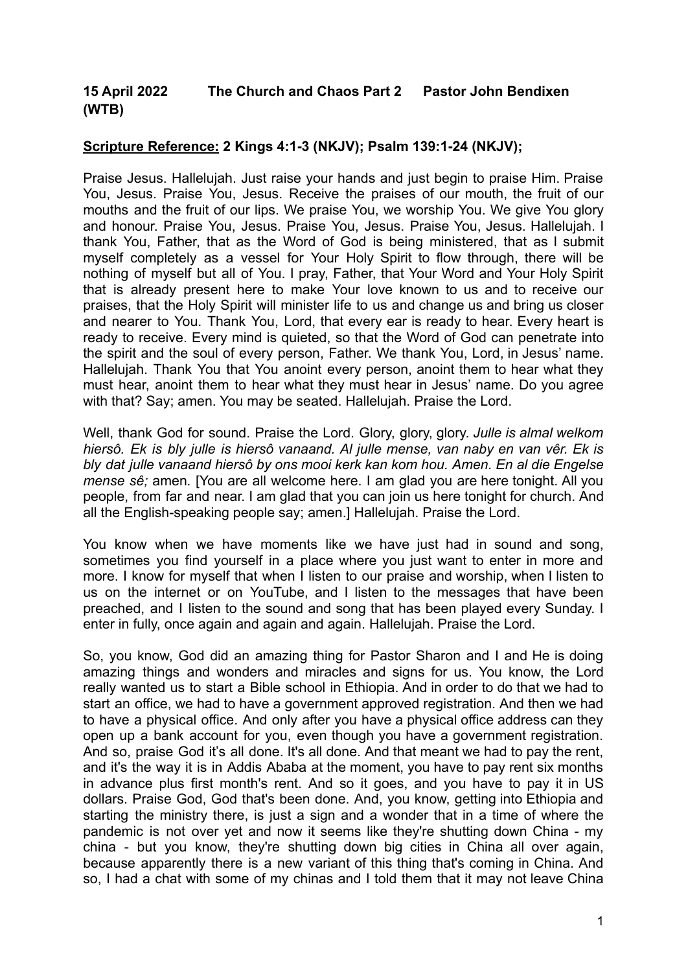## **15 April 2022 The Church and Chaos Part 2 Pastor John Bendixen (WTB)**

## **Scripture Reference: 2 Kings 4:1-3 (NKJV); Psalm 139:1-24 (NKJV);**

Praise Jesus. Hallelujah. Just raise your hands and just begin to praise Him. Praise You, Jesus. Praise You, Jesus. Receive the praises of our mouth, the fruit of our mouths and the fruit of our lips. We praise You, we worship You. We give You glory and honour. Praise You, Jesus. Praise You, Jesus. Praise You, Jesus. Hallelujah. I thank You, Father, that as the Word of God is being ministered, that as I submit myself completely as a vessel for Your Holy Spirit to flow through, there will be nothing of myself but all of You. I pray, Father, that Your Word and Your Holy Spirit that is already present here to make Your love known to us and to receive our praises, that the Holy Spirit will minister life to us and change us and bring us closer and nearer to You. Thank You, Lord, that every ear is ready to hear. Every heart is ready to receive. Every mind is quieted, so that the Word of God can penetrate into the spirit and the soul of every person, Father. We thank You, Lord, in Jesus' name. Hallelujah. Thank You that You anoint every person, anoint them to hear what they must hear, anoint them to hear what they must hear in Jesus' name. Do you agree with that? Say; amen. You may be seated. Hallelujah. Praise the Lord.

Well, thank God for sound. Praise the Lord. Glory, glory, glory. *Julle is almal welkom hiersô. Ek is bly julle is hiersô vanaand. Al julle mense, van naby en van vêr. Ek is bly dat julle vanaand hiersô by ons mooi kerk kan kom hou. Amen. En al die Engelse mense sê;* amen*.* [You are all welcome here. I am glad you are here tonight. All you people, from far and near. I am glad that you can join us here tonight for church. And all the English-speaking people say; amen.] Hallelujah. Praise the Lord.

You know when we have moments like we have just had in sound and song, sometimes you find yourself in a place where you just want to enter in more and more. I know for myself that when I listen to our praise and worship, when I listen to us on the internet or on YouTube, and I listen to the messages that have been preached, and I listen to the sound and song that has been played every Sunday. I enter in fully, once again and again and again. Hallelujah. Praise the Lord.

So, you know, God did an amazing thing for Pastor Sharon and I and He is doing amazing things and wonders and miracles and signs for us. You know, the Lord really wanted us to start a Bible school in Ethiopia. And in order to do that we had to start an office, we had to have a government approved registration. And then we had to have a physical office. And only after you have a physical office address can they open up a bank account for you, even though you have a government registration. And so, praise God it's all done. It's all done. And that meant we had to pay the rent, and it's the way it is in Addis Ababa at the moment, you have to pay rent six months in advance plus first month's rent. And so it goes, and you have to pay it in US dollars. Praise God, God that's been done. And, you know, getting into Ethiopia and starting the ministry there, is just a sign and a wonder that in a time of where the pandemic is not over yet and now it seems like they're shutting down China - my china - but you know, they're shutting down big cities in China all over again, because apparently there is a new variant of this thing that's coming in China. And so, I had a chat with some of my chinas and I told them that it may not leave China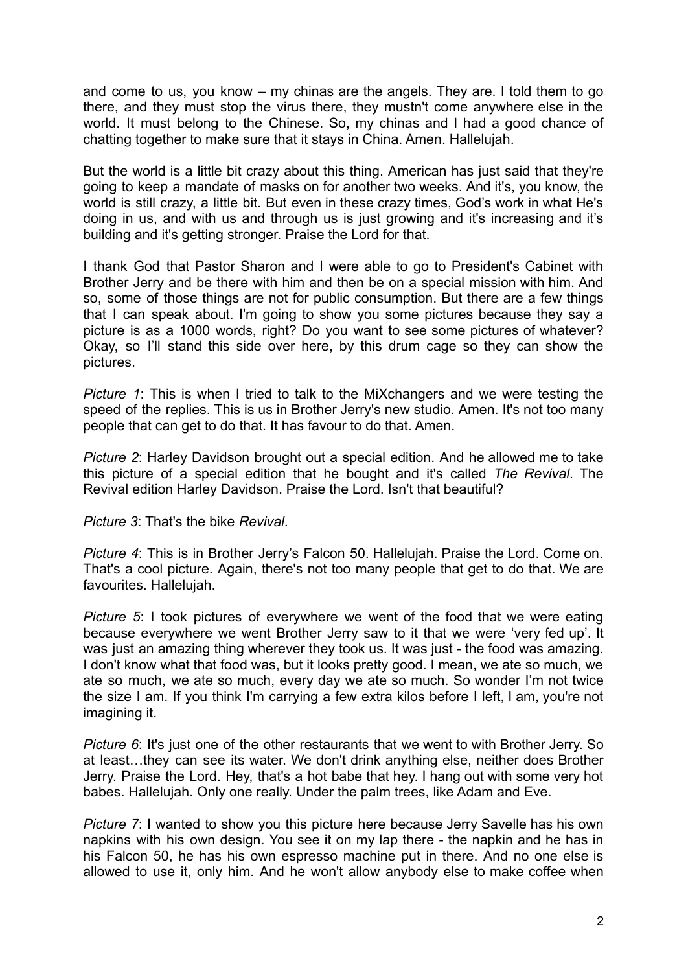and come to us, you know – my chinas are the angels. They are. I told them to go there, and they must stop the virus there, they mustn't come anywhere else in the world. It must belong to the Chinese. So, my chinas and I had a good chance of chatting together to make sure that it stays in China. Amen. Hallelujah.

But the world is a little bit crazy about this thing. American has just said that they're going to keep a mandate of masks on for another two weeks. And it's, you know, the world is still crazy, a little bit. But even in these crazy times, God's work in what He's doing in us, and with us and through us is just growing and it's increasing and it's building and it's getting stronger. Praise the Lord for that.

I thank God that Pastor Sharon and I were able to go to President's Cabinet with Brother Jerry and be there with him and then be on a special mission with him. And so, some of those things are not for public consumption. But there are a few things that I can speak about. I'm going to show you some pictures because they say a picture is as a 1000 words, right? Do you want to see some pictures of whatever? Okay, so I'll stand this side over here, by this drum cage so they can show the pictures.

*Picture 1*: This is when I tried to talk to the MiXchangers and we were testing the speed of the replies. This is us in Brother Jerry's new studio. Amen. It's not too many people that can get to do that. It has favour to do that. Amen.

*Picture 2*: Harley Davidson brought out a special edition. And he allowed me to take this picture of a special edition that he bought and it's called *The Revival*. The Revival edition Harley Davidson. Praise the Lord. Isn't that beautiful?

*Picture 3*: That's the bike *Revival*.

*Picture 4*: This is in Brother Jerry's Falcon 50. Hallelujah. Praise the Lord. Come on. That's a cool picture. Again, there's not too many people that get to do that. We are favourites. Hallelujah.

*Picture 5*: I took pictures of everywhere we went of the food that we were eating because everywhere we went Brother Jerry saw to it that we were 'very fed up'. It was just an amazing thing wherever they took us. It was just - the food was amazing. I don't know what that food was, but it looks pretty good. I mean, we ate so much, we ate so much, we ate so much, every day we ate so much. So wonder I'm not twice the size I am. If you think I'm carrying a few extra kilos before I left, I am, you're not imagining it.

*Picture 6*: It's just one of the other restaurants that we went to with Brother Jerry. So at least…they can see its water. We don't drink anything else, neither does Brother Jerry. Praise the Lord. Hey, that's a hot babe that hey. I hang out with some very hot babes. Hallelujah. Only one really. Under the palm trees, like Adam and Eve.

*Picture 7*: I wanted to show you this picture here because Jerry Savelle has his own napkins with his own design. You see it on my lap there - the napkin and he has in his Falcon 50, he has his own espresso machine put in there. And no one else is allowed to use it, only him. And he won't allow anybody else to make coffee when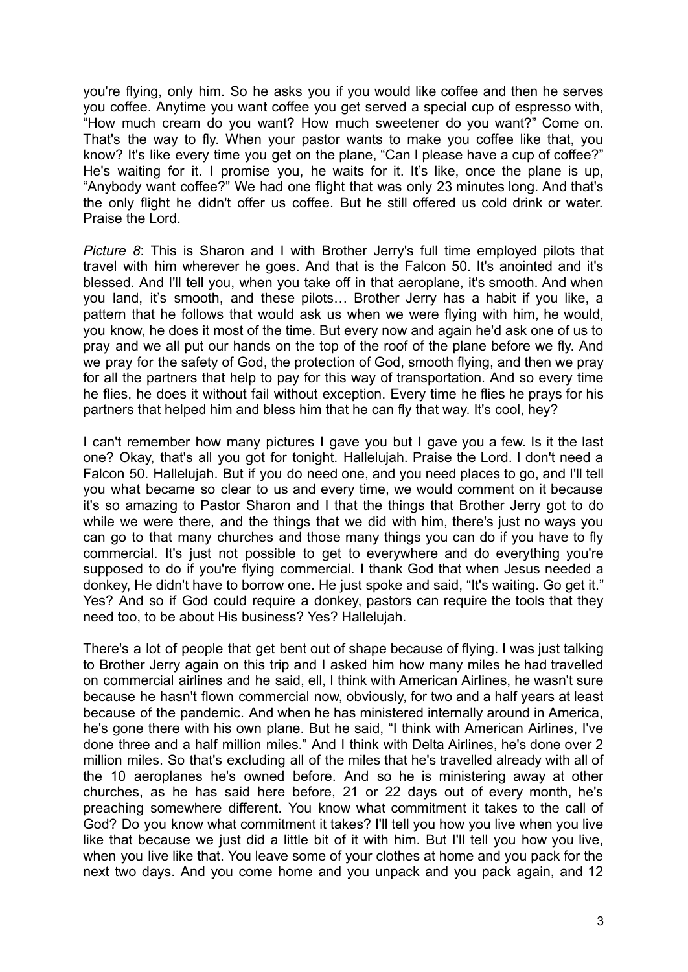you're flying, only him. So he asks you if you would like coffee and then he serves you coffee. Anytime you want coffee you get served a special cup of espresso with, "How much cream do you want? How much sweetener do you want?" Come on. That's the way to fly. When your pastor wants to make you coffee like that, you know? It's like every time you get on the plane, "Can I please have a cup of coffee?" He's waiting for it. I promise you, he waits for it. It's like, once the plane is up, "Anybody want coffee?" We had one flight that was only 23 minutes long. And that's the only flight he didn't offer us coffee. But he still offered us cold drink or water. Praise the Lord.

*Picture 8*: This is Sharon and I with Brother Jerry's full time employed pilots that travel with him wherever he goes. And that is the Falcon 50. It's anointed and it's blessed. And I'll tell you, when you take off in that aeroplane, it's smooth. And when you land, it's smooth, and these pilots… Brother Jerry has a habit if you like, a pattern that he follows that would ask us when we were flying with him, he would, you know, he does it most of the time. But every now and again he'd ask one of us to pray and we all put our hands on the top of the roof of the plane before we fly. And we pray for the safety of God, the protection of God, smooth flying, and then we pray for all the partners that help to pay for this way of transportation. And so every time he flies, he does it without fail without exception. Every time he flies he prays for his partners that helped him and bless him that he can fly that way. It's cool, hey?

I can't remember how many pictures I gave you but I gave you a few. Is it the last one? Okay, that's all you got for tonight. Hallelujah. Praise the Lord. I don't need a Falcon 50. Hallelujah. But if you do need one, and you need places to go, and I'll tell you what became so clear to us and every time, we would comment on it because it's so amazing to Pastor Sharon and I that the things that Brother Jerry got to do while we were there, and the things that we did with him, there's just no ways you can go to that many churches and those many things you can do if you have to fly commercial. It's just not possible to get to everywhere and do everything you're supposed to do if you're flying commercial. I thank God that when Jesus needed a donkey, He didn't have to borrow one. He just spoke and said, "It's waiting. Go get it." Yes? And so if God could require a donkey, pastors can require the tools that they need too, to be about His business? Yes? Hallelujah.

There's a lot of people that get bent out of shape because of flying. I was just talking to Brother Jerry again on this trip and I asked him how many miles he had travelled on commercial airlines and he said, ell, I think with American Airlines, he wasn't sure because he hasn't flown commercial now, obviously, for two and a half years at least because of the pandemic. And when he has ministered internally around in America, he's gone there with his own plane. But he said, "I think with American Airlines, I've done three and a half million miles." And I think with Delta Airlines, he's done over 2 million miles. So that's excluding all of the miles that he's travelled already with all of the 10 aeroplanes he's owned before. And so he is ministering away at other churches, as he has said here before, 21 or 22 days out of every month, he's preaching somewhere different. You know what commitment it takes to the call of God? Do you know what commitment it takes? I'll tell you how you live when you live like that because we just did a little bit of it with him. But I'll tell you how you live, when you live like that. You leave some of your clothes at home and you pack for the next two days. And you come home and you unpack and you pack again, and 12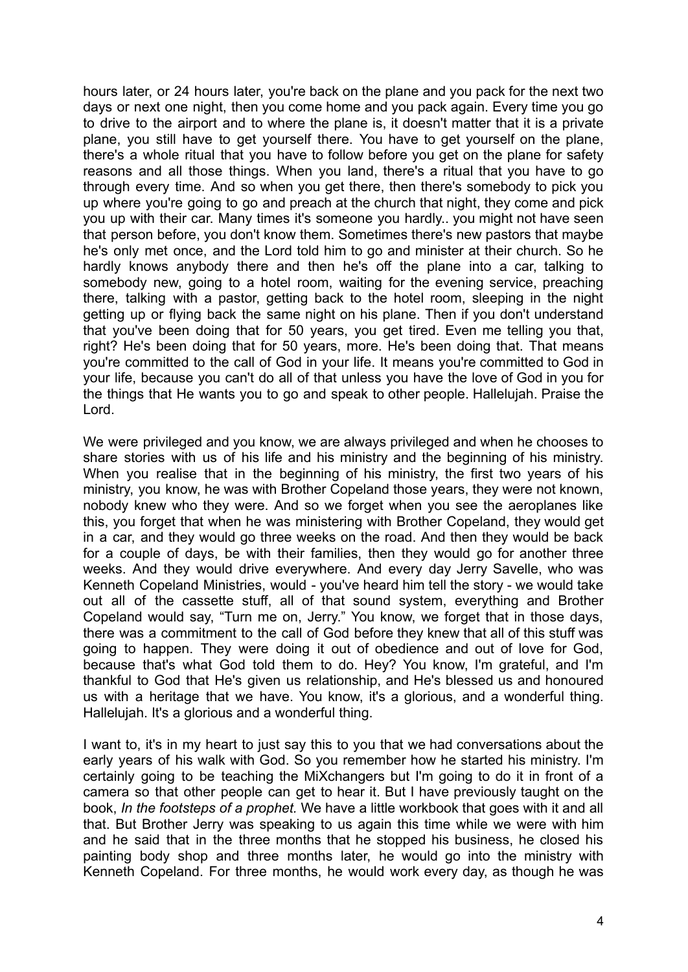hours later, or 24 hours later, you're back on the plane and you pack for the next two days or next one night, then you come home and you pack again. Every time you go to drive to the airport and to where the plane is, it doesn't matter that it is a private plane, you still have to get yourself there. You have to get yourself on the plane, there's a whole ritual that you have to follow before you get on the plane for safety reasons and all those things. When you land, there's a ritual that you have to go through every time. And so when you get there, then there's somebody to pick you up where you're going to go and preach at the church that night, they come and pick you up with their car. Many times it's someone you hardly.. you might not have seen that person before, you don't know them. Sometimes there's new pastors that maybe he's only met once, and the Lord told him to go and minister at their church. So he hardly knows anybody there and then he's off the plane into a car, talking to somebody new, going to a hotel room, waiting for the evening service, preaching there, talking with a pastor, getting back to the hotel room, sleeping in the night getting up or flying back the same night on his plane. Then if you don't understand that you've been doing that for 50 years, you get tired. Even me telling you that, right? He's been doing that for 50 years, more. He's been doing that. That means you're committed to the call of God in your life. It means you're committed to God in your life, because you can't do all of that unless you have the love of God in you for the things that He wants you to go and speak to other people. Hallelujah. Praise the Lord.

We were privileged and you know, we are always privileged and when he chooses to share stories with us of his life and his ministry and the beginning of his ministry. When you realise that in the beginning of his ministry, the first two years of his ministry, you know, he was with Brother Copeland those years, they were not known, nobody knew who they were. And so we forget when you see the aeroplanes like this, you forget that when he was ministering with Brother Copeland, they would get in a car, and they would go three weeks on the road. And then they would be back for a couple of days, be with their families, then they would go for another three weeks. And they would drive everywhere. And every day Jerry Savelle, who was Kenneth Copeland Ministries, would - you've heard him tell the story - we would take out all of the cassette stuff, all of that sound system, everything and Brother Copeland would say, "Turn me on, Jerry." You know, we forget that in those days, there was a commitment to the call of God before they knew that all of this stuff was going to happen. They were doing it out of obedience and out of love for God, because that's what God told them to do. Hey? You know, I'm grateful, and I'm thankful to God that He's given us relationship, and He's blessed us and honoured us with a heritage that we have. You know, it's a glorious, and a wonderful thing. Hallelujah. It's a glorious and a wonderful thing.

I want to, it's in my heart to just say this to you that we had conversations about the early years of his walk with God. So you remember how he started his ministry. I'm certainly going to be teaching the MiXchangers but I'm going to do it in front of a camera so that other people can get to hear it. But I have previously taught on the book, *In the footsteps of a prophet.* We have a little workbook that goes with it and all that. But Brother Jerry was speaking to us again this time while we were with him and he said that in the three months that he stopped his business, he closed his painting body shop and three months later, he would go into the ministry with Kenneth Copeland. For three months, he would work every day, as though he was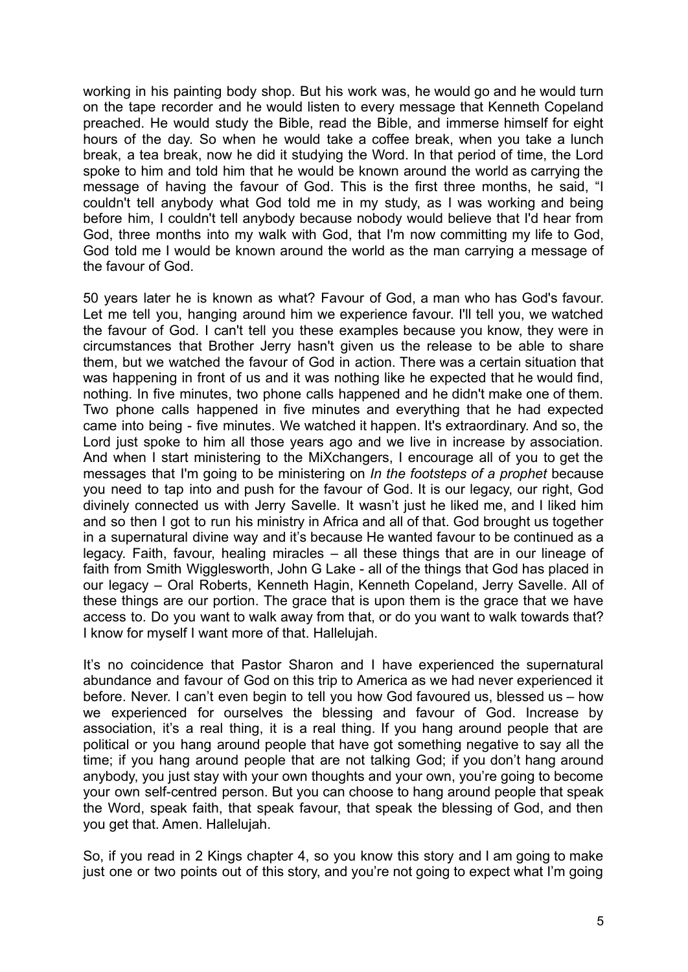working in his painting body shop. But his work was, he would go and he would turn on the tape recorder and he would listen to every message that Kenneth Copeland preached. He would study the Bible, read the Bible, and immerse himself for eight hours of the day. So when he would take a coffee break, when you take a lunch break, a tea break, now he did it studying the Word. In that period of time, the Lord spoke to him and told him that he would be known around the world as carrying the message of having the favour of God. This is the first three months, he said, "I couldn't tell anybody what God told me in my study, as I was working and being before him, I couldn't tell anybody because nobody would believe that I'd hear from God, three months into my walk with God, that I'm now committing my life to God, God told me I would be known around the world as the man carrying a message of the favour of God.

50 years later he is known as what? Favour of God, a man who has God's favour. Let me tell you, hanging around him we experience favour. I'll tell you, we watched the favour of God. I can't tell you these examples because you know, they were in circumstances that Brother Jerry hasn't given us the release to be able to share them, but we watched the favour of God in action. There was a certain situation that was happening in front of us and it was nothing like he expected that he would find, nothing. In five minutes, two phone calls happened and he didn't make one of them. Two phone calls happened in five minutes and everything that he had expected came into being - five minutes. We watched it happen. It's extraordinary. And so, the Lord just spoke to him all those years ago and we live in increase by association. And when I start ministering to the MiXchangers, I encourage all of you to get the messages that I'm going to be ministering on *In the footsteps of a prophet* because you need to tap into and push for the favour of God. It is our legacy, our right, God divinely connected us with Jerry Savelle. It wasn't just he liked me, and I liked him and so then I got to run his ministry in Africa and all of that. God brought us together in a supernatural divine way and it's because He wanted favour to be continued as a legacy. Faith, favour, healing miracles – all these things that are in our lineage of faith from Smith Wigglesworth, John G Lake - all of the things that God has placed in our legacy – Oral Roberts, Kenneth Hagin, Kenneth Copeland, Jerry Savelle. All of these things are our portion. The grace that is upon them is the grace that we have access to. Do you want to walk away from that, or do you want to walk towards that? I know for myself I want more of that. Hallelujah.

It's no coincidence that Pastor Sharon and I have experienced the supernatural abundance and favour of God on this trip to America as we had never experienced it before. Never. I can't even begin to tell you how God favoured us, blessed us – how we experienced for ourselves the blessing and favour of God. Increase by association, it's a real thing, it is a real thing. If you hang around people that are political or you hang around people that have got something negative to say all the time; if you hang around people that are not talking God; if you don't hang around anybody, you just stay with your own thoughts and your own, you're going to become your own self-centred person. But you can choose to hang around people that speak the Word, speak faith, that speak favour, that speak the blessing of God, and then you get that. Amen. Hallelujah.

So, if you read in 2 Kings chapter 4, so you know this story and I am going to make just one or two points out of this story, and you're not going to expect what I'm going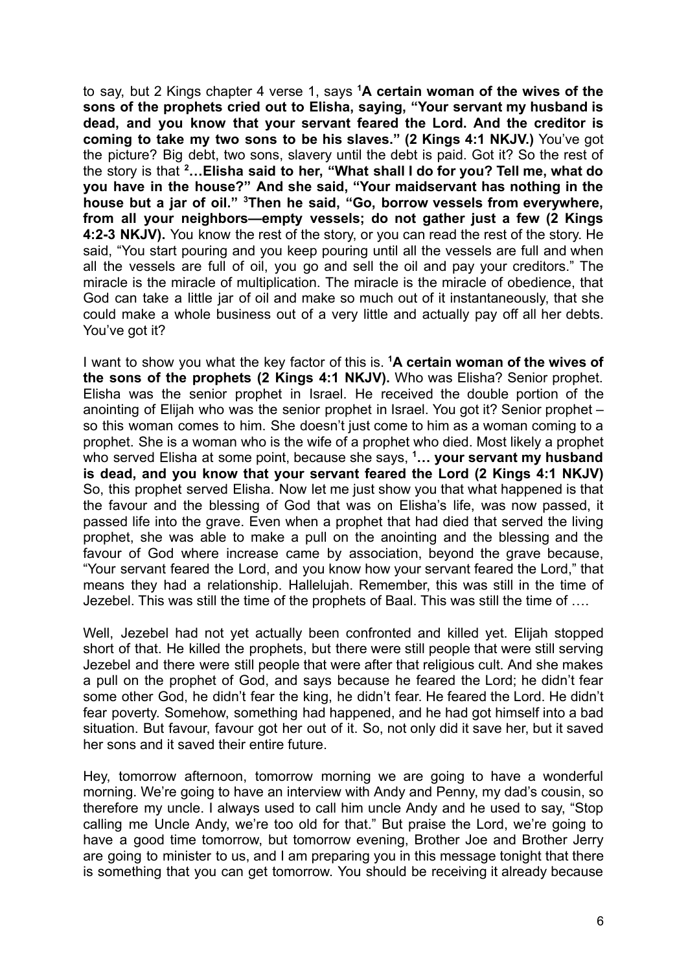to say, but 2 Kings chapter 4 verse 1, says **<sup>1</sup>A certain woman of the wives of the sons of the prophets cried out to Elisha, saying, "Your servant my husband is dead, and you know that your servant feared the Lord. And the creditor is coming to take my two sons to be his slaves." (2 Kings 4:1 NKJV.)** You've got the picture? Big debt, two sons, slavery until the debt is paid. Got it? So the rest of the story is that **<sup>2</sup>…Elisha said to her, "What shall I do for you? Tell me, what do you have in the house?" And she said, "Your maidservant has nothing in the house but a jar of oil." <sup>3</sup>Then he said, "Go, borrow vessels from everywhere, from all your neighbors—empty vessels; do not gather just a few (2 Kings 4:2-3 NKJV).** You know the rest of the story, or you can read the rest of the story. He said, "You start pouring and you keep pouring until all the vessels are full and when all the vessels are full of oil, you go and sell the oil and pay your creditors." The miracle is the miracle of multiplication. The miracle is the miracle of obedience, that God can take a little jar of oil and make so much out of it instantaneously, that she could make a whole business out of a very little and actually pay off all her debts. You've got it?

I want to show you what the key factor of this is. **<sup>1</sup>A certain woman of the wives of the sons of the prophets (2 Kings 4:1 NKJV).** Who was Elisha? Senior prophet. Elisha was the senior prophet in Israel. He received the double portion of the anointing of Elijah who was the senior prophet in Israel. You got it? Senior prophet – so this woman comes to him. She doesn't just come to him as a woman coming to a prophet. She is a woman who is the wife of a prophet who died. Most likely a prophet who served Elisha at some point, because she says, **<sup>1</sup>… your servant my husband is dead, and you know that your servant feared the Lord (2 Kings 4:1 NKJV)** So, this prophet served Elisha. Now let me just show you that what happened is that the favour and the blessing of God that was on Elisha's life, was now passed, it passed life into the grave. Even when a prophet that had died that served the living prophet, she was able to make a pull on the anointing and the blessing and the favour of God where increase came by association, beyond the grave because, "Your servant feared the Lord, and you know how your servant feared the Lord," that means they had a relationship. Hallelujah. Remember, this was still in the time of Jezebel. This was still the time of the prophets of Baal. This was still the time of ….

Well, Jezebel had not yet actually been confronted and killed yet. Elijah stopped short of that. He killed the prophets, but there were still people that were still serving Jezebel and there were still people that were after that religious cult. And she makes a pull on the prophet of God, and says because he feared the Lord; he didn't fear some other God, he didn't fear the king, he didn't fear. He feared the Lord. He didn't fear poverty. Somehow, something had happened, and he had got himself into a bad situation. But favour, favour got her out of it. So, not only did it save her, but it saved her sons and it saved their entire future.

Hey, tomorrow afternoon, tomorrow morning we are going to have a wonderful morning. We're going to have an interview with Andy and Penny, my dad's cousin, so therefore my uncle. I always used to call him uncle Andy and he used to say, "Stop calling me Uncle Andy, we're too old for that." But praise the Lord, we're going to have a good time tomorrow, but tomorrow evening, Brother Joe and Brother Jerry are going to minister to us, and I am preparing you in this message tonight that there is something that you can get tomorrow. You should be receiving it already because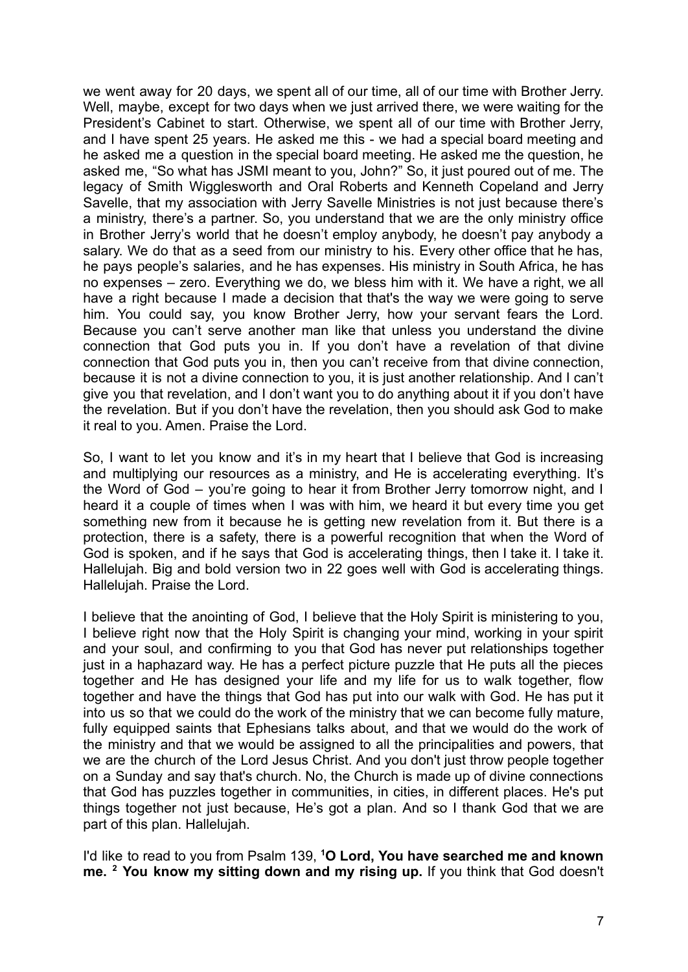we went away for 20 days, we spent all of our time, all of our time with Brother Jerry. Well, maybe, except for two days when we just arrived there, we were waiting for the President's Cabinet to start. Otherwise, we spent all of our time with Brother Jerry, and I have spent 25 years. He asked me this - we had a special board meeting and he asked me a question in the special board meeting. He asked me the question, he asked me, "So what has JSMI meant to you, John?" So, it just poured out of me. The legacy of Smith Wigglesworth and Oral Roberts and Kenneth Copeland and Jerry Savelle, that my association with Jerry Savelle Ministries is not just because there's a ministry, there's a partner. So, you understand that we are the only ministry office in Brother Jerry's world that he doesn't employ anybody, he doesn't pay anybody a salary. We do that as a seed from our ministry to his. Every other office that he has, he pays people's salaries, and he has expenses. His ministry in South Africa, he has no expenses – zero. Everything we do, we bless him with it. We have a right, we all have a right because I made a decision that that's the way we were going to serve him. You could say, you know Brother Jerry, how your servant fears the Lord. Because you can't serve another man like that unless you understand the divine connection that God puts you in. If you don't have a revelation of that divine connection that God puts you in, then you can't receive from that divine connection, because it is not a divine connection to you, it is just another relationship. And I can't give you that revelation, and I don't want you to do anything about it if you don't have the revelation. But if you don't have the revelation, then you should ask God to make it real to you. Amen. Praise the Lord.

So, I want to let you know and it's in my heart that I believe that God is increasing and multiplying our resources as a ministry, and He is accelerating everything. It's the Word of God – you're going to hear it from Brother Jerry tomorrow night, and I heard it a couple of times when I was with him, we heard it but every time you get something new from it because he is getting new revelation from it. But there is a protection, there is a safety, there is a powerful recognition that when the Word of God is spoken, and if he says that God is accelerating things, then I take it. I take it. Hallelujah. Big and bold version two in 22 goes well with God is accelerating things. Hallelujah. Praise the Lord.

I believe that the anointing of God, I believe that the Holy Spirit is ministering to you, I believe right now that the Holy Spirit is changing your mind, working in your spirit and your soul, and confirming to you that God has never put relationships together just in a haphazard way. He has a perfect picture puzzle that He puts all the pieces together and He has designed your life and my life for us to walk together, flow together and have the things that God has put into our walk with God. He has put it into us so that we could do the work of the ministry that we can become fully mature, fully equipped saints that Ephesians talks about, and that we would do the work of the ministry and that we would be assigned to all the principalities and powers, that we are the church of the Lord Jesus Christ. And you don't just throw people together on a Sunday and say that's church. No, the Church is made up of divine connections that God has puzzles together in communities, in cities, in different places. He's put things together not just because, He's got a plan. And so I thank God that we are part of this plan. Hallelujah.

I'd like to read to you from Psalm 139, **<sup>1</sup>O Lord, You have searched me and known me. <sup>2</sup> You know my sitting down and my rising up.** If you think that God doesn't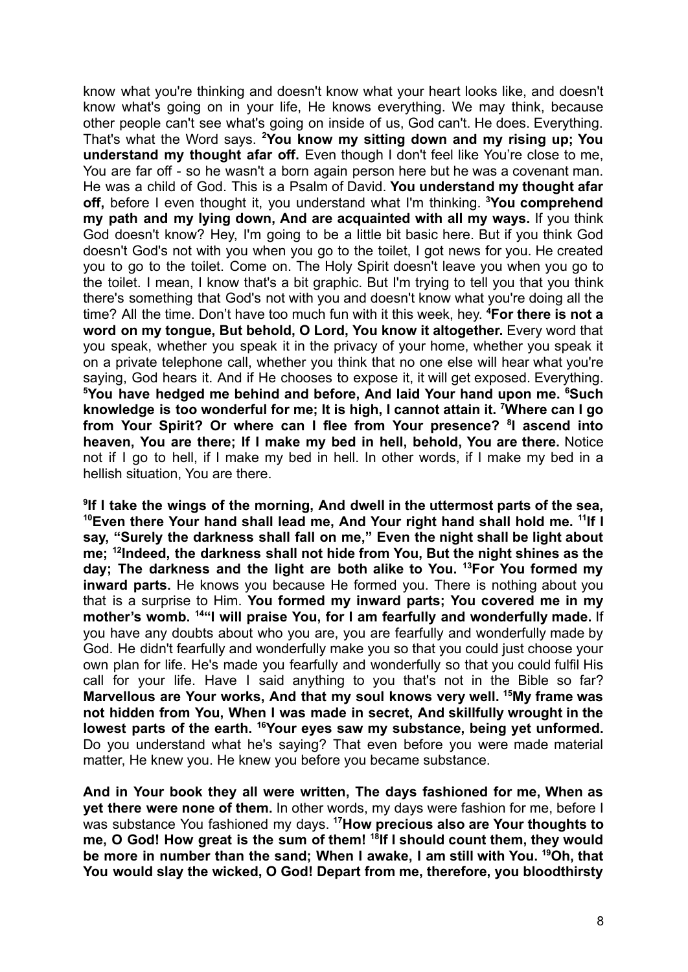know what you're thinking and doesn't know what your heart looks like, and doesn't know what's going on in your life, He knows everything. We may think, because other people can't see what's going on inside of us, God can't. He does. Everything. That's what the Word says. **<sup>2</sup>You know my sitting down and my rising up; You understand my thought afar off.** Even though I don't feel like You're close to me, You are far off - so he wasn't a born again person here but he was a covenant man. He was a child of God. This is a Psalm of David. **You understand my thought afar off,** before I even thought it, you understand what I'm thinking. **<sup>3</sup>You comprehend my path and my lying down, And are acquainted with all my ways.** If you think God doesn't know? Hey, I'm going to be a little bit basic here. But if you think God doesn't God's not with you when you go to the toilet, I got news for you. He created you to go to the toilet. Come on. The Holy Spirit doesn't leave you when you go to the toilet. I mean, I know that's a bit graphic. But I'm trying to tell you that you think there's something that God's not with you and doesn't know what you're doing all the time? All the time. Don't have too much fun with it this week, hey. **<sup>4</sup>For there is not a word on my tongue, But behold, O Lord, You know it altogether.** Every word that you speak, whether you speak it in the privacy of your home, whether you speak it on a private telephone call, whether you think that no one else will hear what you're saying, God hears it. And if He chooses to expose it, it will get exposed. Everything. **<sup>5</sup>You have hedged me behind and before, And laid Your hand upon me. <sup>6</sup>Such knowledge is too wonderful for me; It is high, I cannot attain it. <sup>7</sup>Where can I go from Your Spirit? Or where can I flee from Your presence? <sup>8</sup> I ascend into heaven, You are there; If I make my bed in hell, behold, You are there.** Notice not if I go to hell, if I make my bed in hell. In other words, if I make my bed in a hellish situation, You are there.

**9 If I take the wings of the morning, And dwell in the uttermost parts of the sea, <sup>10</sup>Even there Your hand shall lead me, And Your right hand shall hold me. <sup>11</sup> If I say, "Surely the darkness shall fall on me," Even the night shall be light about me; <sup>12</sup> Indeed, the darkness shall not hide from You, But the night shines as the day; The darkness and the light are both alike to You. <sup>13</sup>For You formed my inward parts.** He knows you because He formed you. There is nothing about you that is a surprise to Him. **You formed my inward parts; You covered me in my mother's womb. <sup>14</sup>"I will praise You, for I am fearfully and wonderfully made.** If you have any doubts about who you are, you are fearfully and wonderfully made by God. He didn't fearfully and wonderfully make you so that you could just choose your own plan for life. He's made you fearfully and wonderfully so that you could fulfil His call for your life. Have I said anything to you that's not in the Bible so far? **Marvellous are Your works, And that my soul knows very well. <sup>15</sup>My frame was not hidden from You, When I was made in secret, And skillfully wrought in the lowest parts of the earth. <sup>16</sup>Your eyes saw my substance, being yet unformed.** Do you understand what he's saying? That even before you were made material matter, He knew you. He knew you before you became substance.

**And in Your book they all were written, The days fashioned for me, When as yet there were none of them.** In other words, my days were fashion for me, before I was substance You fashioned my days. **<sup>17</sup>How precious also are Your thoughts to me, O God! How great is the sum of them! <sup>18</sup> If I should count them, they would be more in number than the sand; When I awake, I am still with You. <sup>19</sup>Oh, that You would slay the wicked, O God! Depart from me, therefore, you bloodthirsty**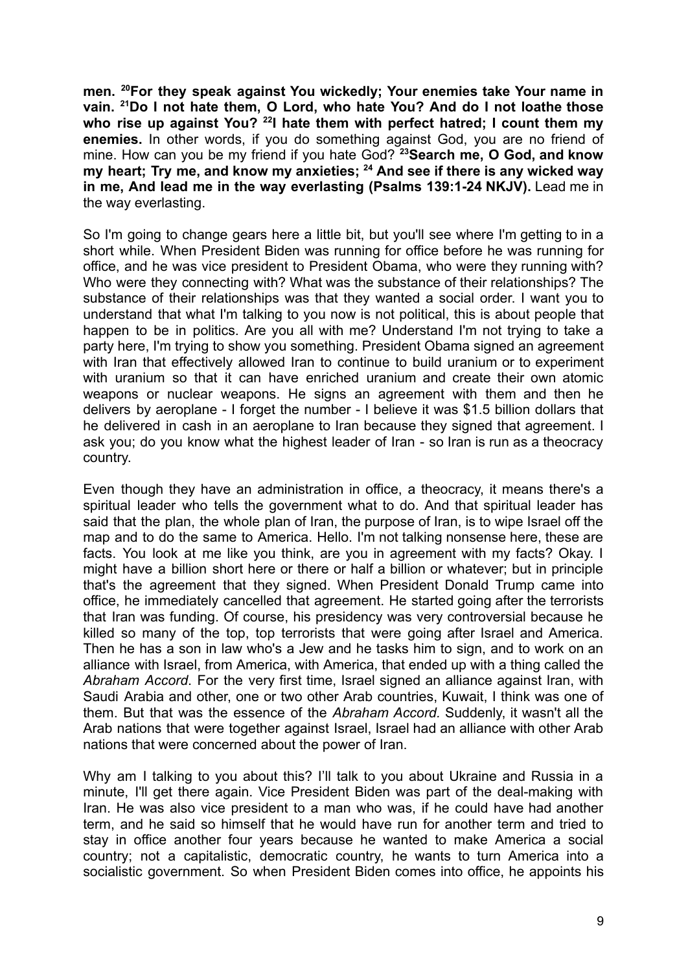**men. <sup>20</sup>For they speak against You wickedly; Your enemies take Your name in vain. <sup>21</sup>Do I not hate them, O Lord, who hate You? And do I not loathe those who rise up against You? <sup>22</sup> I hate them with perfect hatred; I count them my enemies.** In other words, if you do something against God, you are no friend of mine. How can you be my friend if you hate God? **<sup>23</sup>Search me, O God, and know my heart; Try me, and know my anxieties; <sup>24</sup> And see if there is any wicked way in me, And lead me in the way everlasting (Psalms 139:1-24 NKJV).** Lead me in the way everlasting.

So I'm going to change gears here a little bit, but you'll see where I'm getting to in a short while. When President Biden was running for office before he was running for office, and he was vice president to President Obama, who were they running with? Who were they connecting with? What was the substance of their relationships? The substance of their relationships was that they wanted a social order. I want you to understand that what I'm talking to you now is not political, this is about people that happen to be in politics. Are you all with me? Understand I'm not trying to take a party here, I'm trying to show you something. President Obama signed an agreement with Iran that effectively allowed Iran to continue to build uranium or to experiment with uranium so that it can have enriched uranium and create their own atomic weapons or nuclear weapons. He signs an agreement with them and then he delivers by aeroplane - I forget the number - I believe it was \$1.5 billion dollars that he delivered in cash in an aeroplane to Iran because they signed that agreement. I ask you; do you know what the highest leader of Iran - so Iran is run as a theocracy country.

Even though they have an administration in office, a theocracy, it means there's a spiritual leader who tells the government what to do. And that spiritual leader has said that the plan, the whole plan of Iran, the purpose of Iran, is to wipe Israel off the map and to do the same to America. Hello. I'm not talking nonsense here, these are facts. You look at me like you think, are you in agreement with my facts? Okay. I might have a billion short here or there or half a billion or whatever; but in principle that's the agreement that they signed. When President Donald Trump came into office, he immediately cancelled that agreement. He started going after the terrorists that Iran was funding. Of course, his presidency was very controversial because he killed so many of the top, top terrorists that were going after Israel and America. Then he has a son in law who's a Jew and he tasks him to sign, and to work on an alliance with Israel, from America, with America, that ended up with a thing called the *Abraham Accord*. For the very first time, Israel signed an alliance against Iran, with Saudi Arabia and other, one or two other Arab countries, Kuwait, I think was one of them. But that was the essence of the *Abraham Accord.* Suddenly, it wasn't all the Arab nations that were together against Israel, Israel had an alliance with other Arab nations that were concerned about the power of Iran.

Why am I talking to you about this? I'll talk to you about Ukraine and Russia in a minute, I'll get there again. Vice President Biden was part of the deal-making with Iran. He was also vice president to a man who was, if he could have had another term, and he said so himself that he would have run for another term and tried to stay in office another four years because he wanted to make America a social country; not a capitalistic, democratic country, he wants to turn America into a socialistic government. So when President Biden comes into office, he appoints his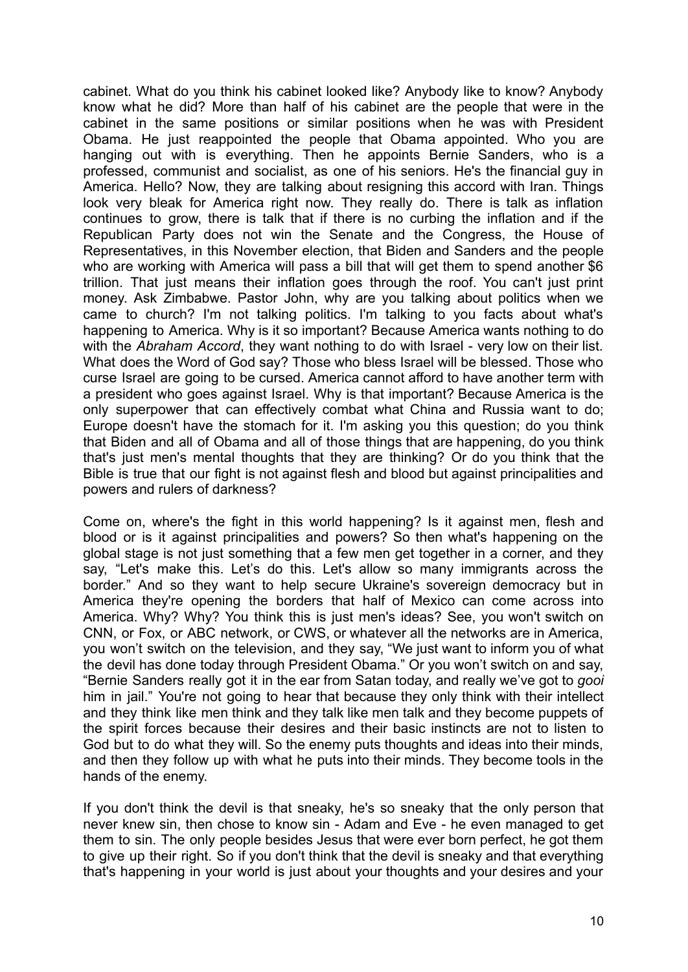cabinet. What do you think his cabinet looked like? Anybody like to know? Anybody know what he did? More than half of his cabinet are the people that were in the cabinet in the same positions or similar positions when he was with President Obama. He just reappointed the people that Obama appointed. Who you are hanging out with is everything. Then he appoints Bernie Sanders, who is a professed, communist and socialist, as one of his seniors. He's the financial guy in America. Hello? Now, they are talking about resigning this accord with Iran. Things look very bleak for America right now. They really do. There is talk as inflation continues to grow, there is talk that if there is no curbing the inflation and if the Republican Party does not win the Senate and the Congress, the House of Representatives, in this November election, that Biden and Sanders and the people who are working with America will pass a bill that will get them to spend another \$6 trillion. That just means their inflation goes through the roof. You can't just print money. Ask Zimbabwe. Pastor John, why are you talking about politics when we came to church? I'm not talking politics. I'm talking to you facts about what's happening to America. Why is it so important? Because America wants nothing to do with the *Abraham Accord*, they want nothing to do with Israel - very low on their list. What does the Word of God say? Those who bless Israel will be blessed. Those who curse Israel are going to be cursed. America cannot afford to have another term with a president who goes against Israel. Why is that important? Because America is the only superpower that can effectively combat what China and Russia want to do; Europe doesn't have the stomach for it. I'm asking you this question; do you think that Biden and all of Obama and all of those things that are happening, do you think that's just men's mental thoughts that they are thinking? Or do you think that the Bible is true that our fight is not against flesh and blood but against principalities and powers and rulers of darkness?

Come on, where's the fight in this world happening? Is it against men, flesh and blood or is it against principalities and powers? So then what's happening on the global stage is not just something that a few men get together in a corner, and they say, "Let's make this. Let's do this. Let's allow so many immigrants across the border." And so they want to help secure Ukraine's sovereign democracy but in America they're opening the borders that half of Mexico can come across into America. Why? Why? You think this is just men's ideas? See, you won't switch on CNN, or Fox, or ABC network, or CWS, or whatever all the networks are in America, you won't switch on the television, and they say, "We just want to inform you of what the devil has done today through President Obama." Or you won't switch on and say, "Bernie Sanders really got it in the ear from Satan today, and really we've got to *gooi* him in jail." You're not going to hear that because they only think with their intellect and they think like men think and they talk like men talk and they become puppets of the spirit forces because their desires and their basic instincts are not to listen to God but to do what they will. So the enemy puts thoughts and ideas into their minds, and then they follow up with what he puts into their minds. They become tools in the hands of the enemy.

If you don't think the devil is that sneaky, he's so sneaky that the only person that never knew sin, then chose to know sin - Adam and Eve - he even managed to get them to sin. The only people besides Jesus that were ever born perfect, he got them to give up their right. So if you don't think that the devil is sneaky and that everything that's happening in your world is just about your thoughts and your desires and your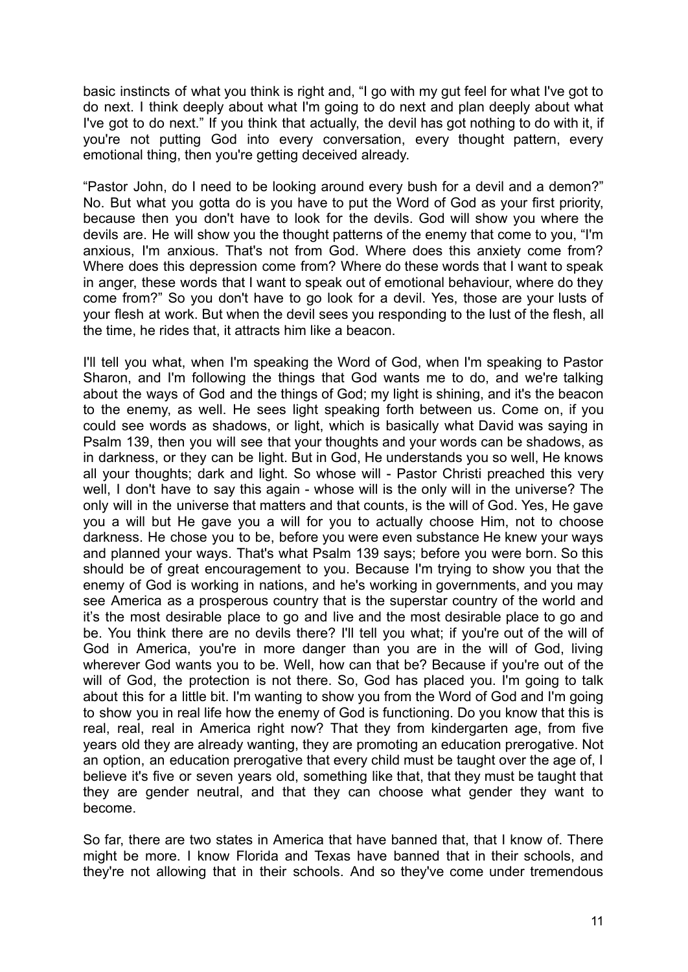basic instincts of what you think is right and, "I go with my gut feel for what I've got to do next. I think deeply about what I'm going to do next and plan deeply about what I've got to do next." If you think that actually, the devil has got nothing to do with it, if you're not putting God into every conversation, every thought pattern, every emotional thing, then you're getting deceived already.

"Pastor John, do I need to be looking around every bush for a devil and a demon?" No. But what you gotta do is you have to put the Word of God as your first priority, because then you don't have to look for the devils. God will show you where the devils are. He will show you the thought patterns of the enemy that come to you, "I'm anxious, I'm anxious. That's not from God. Where does this anxiety come from? Where does this depression come from? Where do these words that I want to speak in anger, these words that I want to speak out of emotional behaviour, where do they come from?" So you don't have to go look for a devil. Yes, those are your lusts of your flesh at work. But when the devil sees you responding to the lust of the flesh, all the time, he rides that, it attracts him like a beacon.

I'll tell you what, when I'm speaking the Word of God, when I'm speaking to Pastor Sharon, and I'm following the things that God wants me to do, and we're talking about the ways of God and the things of God; my light is shining, and it's the beacon to the enemy, as well. He sees light speaking forth between us. Come on, if you could see words as shadows, or light, which is basically what David was saying in Psalm 139, then you will see that your thoughts and your words can be shadows, as in darkness, or they can be light. But in God, He understands you so well, He knows all your thoughts; dark and light. So whose will - Pastor Christi preached this very well, I don't have to say this again - whose will is the only will in the universe? The only will in the universe that matters and that counts, is the will of God. Yes, He gave you a will but He gave you a will for you to actually choose Him, not to choose darkness. He chose you to be, before you were even substance He knew your ways and planned your ways. That's what Psalm 139 says; before you were born. So this should be of great encouragement to you. Because I'm trying to show you that the enemy of God is working in nations, and he's working in governments, and you may see America as a prosperous country that is the superstar country of the world and it's the most desirable place to go and live and the most desirable place to go and be. You think there are no devils there? I'll tell you what; if you're out of the will of God in America, you're in more danger than you are in the will of God, living wherever God wants you to be. Well, how can that be? Because if you're out of the will of God, the protection is not there. So, God has placed you. I'm going to talk about this for a little bit. I'm wanting to show you from the Word of God and I'm going to show you in real life how the enemy of God is functioning. Do you know that this is real, real, real in America right now? That they from kindergarten age, from five years old they are already wanting, they are promoting an education prerogative. Not an option, an education prerogative that every child must be taught over the age of, I believe it's five or seven years old, something like that, that they must be taught that they are gender neutral, and that they can choose what gender they want to become.

So far, there are two states in America that have banned that, that I know of. There might be more. I know Florida and Texas have banned that in their schools, and they're not allowing that in their schools. And so they've come under tremendous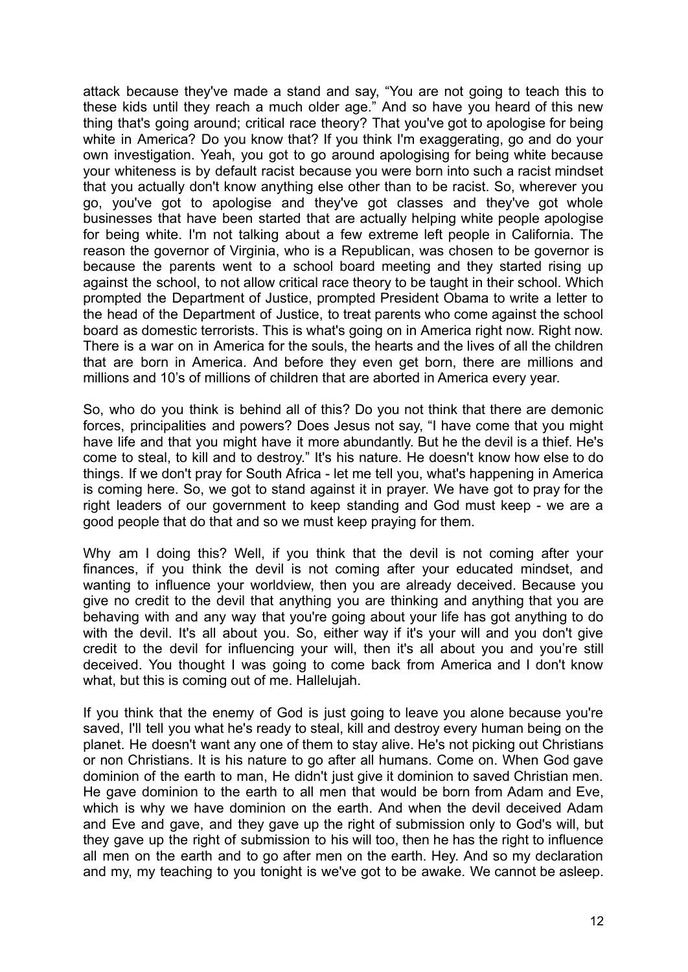attack because they've made a stand and say, "You are not going to teach this to these kids until they reach a much older age." And so have you heard of this new thing that's going around; critical race theory? That you've got to apologise for being white in America? Do you know that? If you think I'm exaggerating, go and do your own investigation. Yeah, you got to go around apologising for being white because your whiteness is by default racist because you were born into such a racist mindset that you actually don't know anything else other than to be racist. So, wherever you go, you've got to apologise and they've got classes and they've got whole businesses that have been started that are actually helping white people apologise for being white. I'm not talking about a few extreme left people in California. The reason the governor of Virginia, who is a Republican, was chosen to be governor is because the parents went to a school board meeting and they started rising up against the school, to not allow critical race theory to be taught in their school. Which prompted the Department of Justice, prompted President Obama to write a letter to the head of the Department of Justice, to treat parents who come against the school board as domestic terrorists. This is what's going on in America right now. Right now. There is a war on in America for the souls, the hearts and the lives of all the children that are born in America. And before they even get born, there are millions and millions and 10's of millions of children that are aborted in America every year.

So, who do you think is behind all of this? Do you not think that there are demonic forces, principalities and powers? Does Jesus not say, "I have come that you might have life and that you might have it more abundantly. But he the devil is a thief. He's come to steal, to kill and to destroy." It's his nature. He doesn't know how else to do things. If we don't pray for South Africa - let me tell you, what's happening in America is coming here. So, we got to stand against it in prayer. We have got to pray for the right leaders of our government to keep standing and God must keep - we are a good people that do that and so we must keep praying for them.

Why am I doing this? Well, if you think that the devil is not coming after your finances, if you think the devil is not coming after your educated mindset, and wanting to influence your worldview, then you are already deceived. Because you give no credit to the devil that anything you are thinking and anything that you are behaving with and any way that you're going about your life has got anything to do with the devil. It's all about you. So, either way if it's your will and you don't give credit to the devil for influencing your will, then it's all about you and you're still deceived. You thought I was going to come back from America and I don't know what, but this is coming out of me. Hallelujah.

If you think that the enemy of God is just going to leave you alone because you're saved, I'll tell you what he's ready to steal, kill and destroy every human being on the planet. He doesn't want any one of them to stay alive. He's not picking out Christians or non Christians. It is his nature to go after all humans. Come on. When God gave dominion of the earth to man, He didn't just give it dominion to saved Christian men. He gave dominion to the earth to all men that would be born from Adam and Eve, which is why we have dominion on the earth. And when the devil deceived Adam and Eve and gave, and they gave up the right of submission only to God's will, but they gave up the right of submission to his will too, then he has the right to influence all men on the earth and to go after men on the earth. Hey. And so my declaration and my, my teaching to you tonight is we've got to be awake. We cannot be asleep.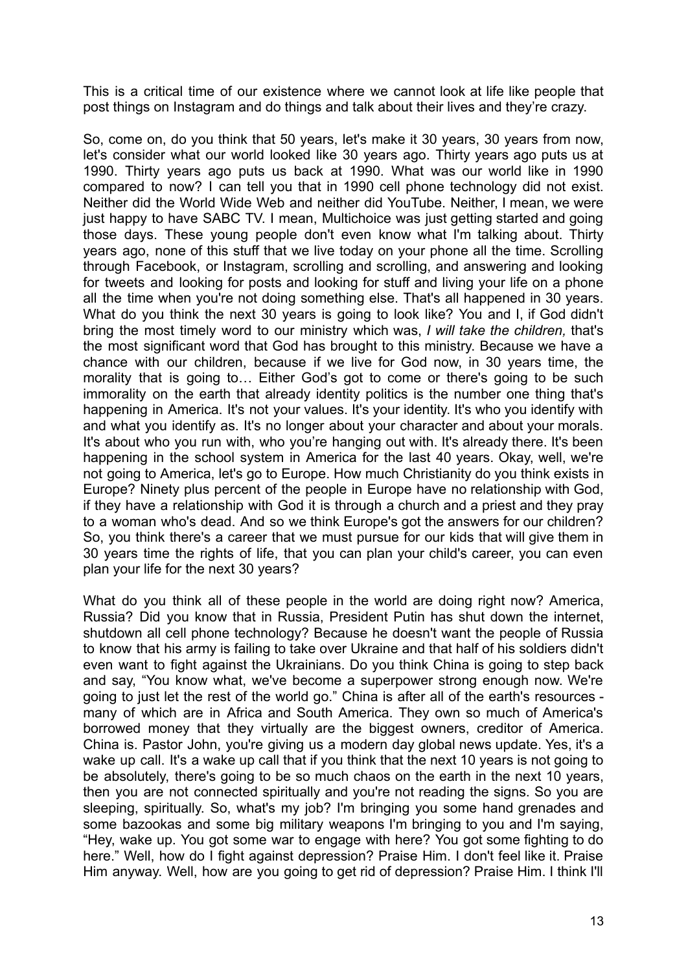This is a critical time of our existence where we cannot look at life like people that post things on Instagram and do things and talk about their lives and they're crazy.

So, come on, do you think that 50 years, let's make it 30 years, 30 years from now, let's consider what our world looked like 30 years ago. Thirty years ago puts us at 1990. Thirty years ago puts us back at 1990. What was our world like in 1990 compared to now? I can tell you that in 1990 cell phone technology did not exist. Neither did the World Wide Web and neither did YouTube. Neither, I mean, we were just happy to have SABC TV. I mean, Multichoice was just getting started and going those days. These young people don't even know what I'm talking about. Thirty years ago, none of this stuff that we live today on your phone all the time. Scrolling through Facebook, or Instagram, scrolling and scrolling, and answering and looking for tweets and looking for posts and looking for stuff and living your life on a phone all the time when you're not doing something else. That's all happened in 30 years. What do you think the next 30 years is going to look like? You and I, if God didn't bring the most timely word to our ministry which was, *I will take the children,* that's the most significant word that God has brought to this ministry. Because we have a chance with our children, because if we live for God now, in 30 years time, the morality that is going to... Either God's got to come or there's going to be such immorality on the earth that already identity politics is the number one thing that's happening in America. It's not your values. It's your identity. It's who you identify with and what you identify as. It's no longer about your character and about your morals. It's about who you run with, who you're hanging out with. It's already there. It's been happening in the school system in America for the last 40 years. Okay, well, we're not going to America, let's go to Europe. How much Christianity do you think exists in Europe? Ninety plus percent of the people in Europe have no relationship with God, if they have a relationship with God it is through a church and a priest and they pray to a woman who's dead. And so we think Europe's got the answers for our children? So, you think there's a career that we must pursue for our kids that will give them in 30 years time the rights of life, that you can plan your child's career, you can even plan your life for the next 30 years?

What do you think all of these people in the world are doing right now? America, Russia? Did you know that in Russia, President Putin has shut down the internet, shutdown all cell phone technology? Because he doesn't want the people of Russia to know that his army is failing to take over Ukraine and that half of his soldiers didn't even want to fight against the Ukrainians. Do you think China is going to step back and say, "You know what, we've become a superpower strong enough now. We're going to just let the rest of the world go." China is after all of the earth's resources many of which are in Africa and South America. They own so much of America's borrowed money that they virtually are the biggest owners, creditor of America. China is. Pastor John, you're giving us a modern day global news update. Yes, it's a wake up call. It's a wake up call that if you think that the next 10 years is not going to be absolutely, there's going to be so much chaos on the earth in the next 10 years, then you are not connected spiritually and you're not reading the signs. So you are sleeping, spiritually. So, what's my job? I'm bringing you some hand grenades and some bazookas and some big military weapons I'm bringing to you and I'm saying, "Hey, wake up. You got some war to engage with here? You got some fighting to do here." Well, how do I fight against depression? Praise Him. I don't feel like it. Praise Him anyway. Well, how are you going to get rid of depression? Praise Him. I think I'll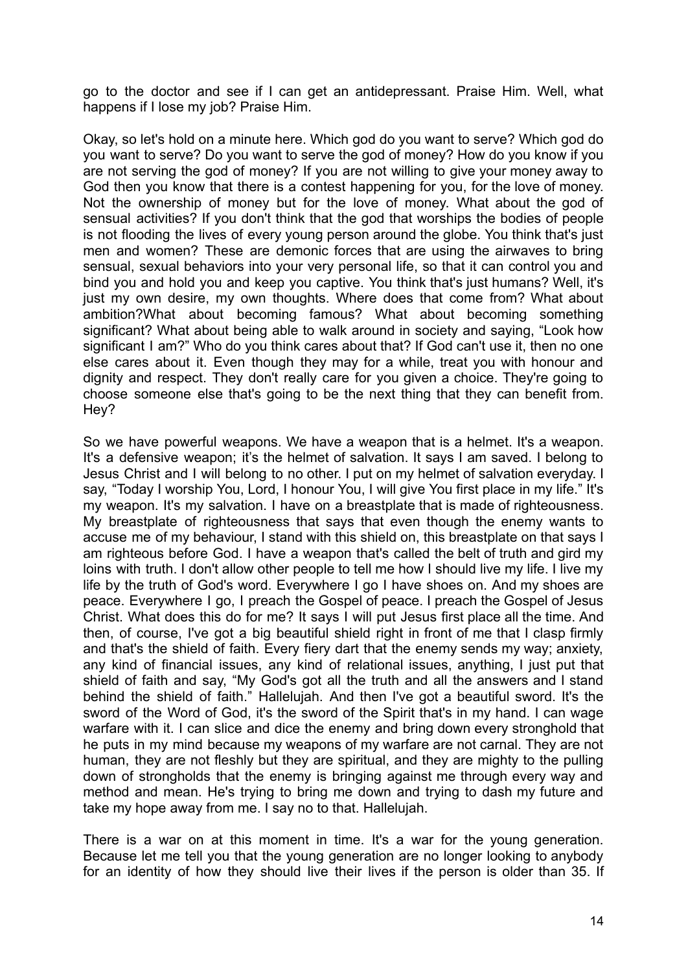go to the doctor and see if I can get an antidepressant. Praise Him. Well, what happens if I lose my job? Praise Him.

Okay, so let's hold on a minute here. Which god do you want to serve? Which god do you want to serve? Do you want to serve the god of money? How do you know if you are not serving the god of money? If you are not willing to give your money away to God then you know that there is a contest happening for you, for the love of money. Not the ownership of money but for the love of money. What about the god of sensual activities? If you don't think that the god that worships the bodies of people is not flooding the lives of every young person around the globe. You think that's just men and women? These are demonic forces that are using the airwaves to bring sensual, sexual behaviors into your very personal life, so that it can control you and bind you and hold you and keep you captive. You think that's just humans? Well, it's just my own desire, my own thoughts. Where does that come from? What about ambition?What about becoming famous? What about becoming something significant? What about being able to walk around in society and saying, "Look how significant I am?" Who do you think cares about that? If God can't use it, then no one else cares about it. Even though they may for a while, treat you with honour and dignity and respect. They don't really care for you given a choice. They're going to choose someone else that's going to be the next thing that they can benefit from. Hey?

So we have powerful weapons. We have a weapon that is a helmet. It's a weapon. It's a defensive weapon; it's the helmet of salvation. It says I am saved. I belong to Jesus Christ and I will belong to no other. I put on my helmet of salvation everyday. I say, "Today I worship You, Lord, I honour You, I will give You first place in my life." It's my weapon. It's my salvation. I have on a breastplate that is made of righteousness. My breastplate of righteousness that says that even though the enemy wants to accuse me of my behaviour, I stand with this shield on, this breastplate on that says I am righteous before God. I have a weapon that's called the belt of truth and gird my loins with truth. I don't allow other people to tell me how I should live my life. I live my life by the truth of God's word. Everywhere I go I have shoes on. And my shoes are peace. Everywhere I go, I preach the Gospel of peace. I preach the Gospel of Jesus Christ. What does this do for me? It says I will put Jesus first place all the time. And then, of course, I've got a big beautiful shield right in front of me that I clasp firmly and that's the shield of faith. Every fiery dart that the enemy sends my way; anxiety, any kind of financial issues, any kind of relational issues, anything, I just put that shield of faith and say, "My God's got all the truth and all the answers and I stand behind the shield of faith." Hallelujah. And then I've got a beautiful sword. It's the sword of the Word of God, it's the sword of the Spirit that's in my hand. I can wage warfare with it. I can slice and dice the enemy and bring down every stronghold that he puts in my mind because my weapons of my warfare are not carnal. They are not human, they are not fleshly but they are spiritual, and they are mighty to the pulling down of strongholds that the enemy is bringing against me through every way and method and mean. He's trying to bring me down and trying to dash my future and take my hope away from me. I say no to that. Hallelujah.

There is a war on at this moment in time. It's a war for the young generation. Because let me tell you that the young generation are no longer looking to anybody for an identity of how they should live their lives if the person is older than 35. If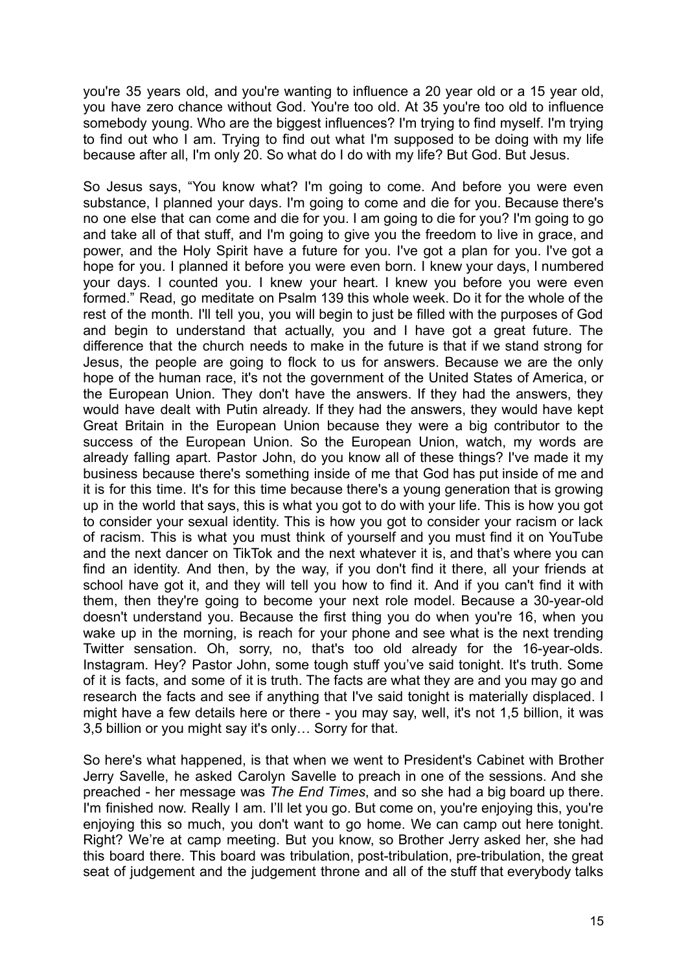you're 35 years old, and you're wanting to influence a 20 year old or a 15 year old, you have zero chance without God. You're too old. At 35 you're too old to influence somebody young. Who are the biggest influences? I'm trying to find myself. I'm trying to find out who I am. Trying to find out what I'm supposed to be doing with my life because after all, I'm only 20. So what do I do with my life? But God. But Jesus.

So Jesus says, "You know what? I'm going to come. And before you were even substance, I planned your days. I'm going to come and die for you. Because there's no one else that can come and die for you. I am going to die for you? I'm going to go and take all of that stuff, and I'm going to give you the freedom to live in grace, and power, and the Holy Spirit have a future for you. I've got a plan for you. I've got a hope for you. I planned it before you were even born. I knew your days, I numbered your days. I counted you. I knew your heart. I knew you before you were even formed." Read, go meditate on Psalm 139 this whole week. Do it for the whole of the rest of the month. I'll tell you, you will begin to just be filled with the purposes of God and begin to understand that actually, you and I have got a great future. The difference that the church needs to make in the future is that if we stand strong for Jesus, the people are going to flock to us for answers. Because we are the only hope of the human race, it's not the government of the United States of America, or the European Union. They don't have the answers. If they had the answers, they would have dealt with Putin already. If they had the answers, they would have kept Great Britain in the European Union because they were a big contributor to the success of the European Union. So the European Union, watch, my words are already falling apart. Pastor John, do you know all of these things? I've made it my business because there's something inside of me that God has put inside of me and it is for this time. It's for this time because there's a young generation that is growing up in the world that says, this is what you got to do with your life. This is how you got to consider your sexual identity. This is how you got to consider your racism or lack of racism. This is what you must think of yourself and you must find it on YouTube and the next dancer on TikTok and the next whatever it is, and that's where you can find an identity. And then, by the way, if you don't find it there, all your friends at school have got it, and they will tell you how to find it. And if you can't find it with them, then they're going to become your next role model. Because a 30-year-old doesn't understand you. Because the first thing you do when you're 16, when you wake up in the morning, is reach for your phone and see what is the next trending Twitter sensation. Oh, sorry, no, that's too old already for the 16-year-olds. Instagram. Hey? Pastor John, some tough stuff you've said tonight. It's truth. Some of it is facts, and some of it is truth. The facts are what they are and you may go and research the facts and see if anything that I've said tonight is materially displaced. I might have a few details here or there - you may say, well, it's not 1,5 billion, it was 3,5 billion or you might say it's only… Sorry for that.

So here's what happened, is that when we went to President's Cabinet with Brother Jerry Savelle, he asked Carolyn Savelle to preach in one of the sessions. And she preached - her message was *The End Times*, and so she had a big board up there. I'm finished now. Really I am. I'll let you go. But come on, you're enjoying this, you're enjoying this so much, you don't want to go home. We can camp out here tonight. Right? We're at camp meeting. But you know, so Brother Jerry asked her, she had this board there. This board was tribulation, post-tribulation, pre-tribulation, the great seat of judgement and the judgement throne and all of the stuff that everybody talks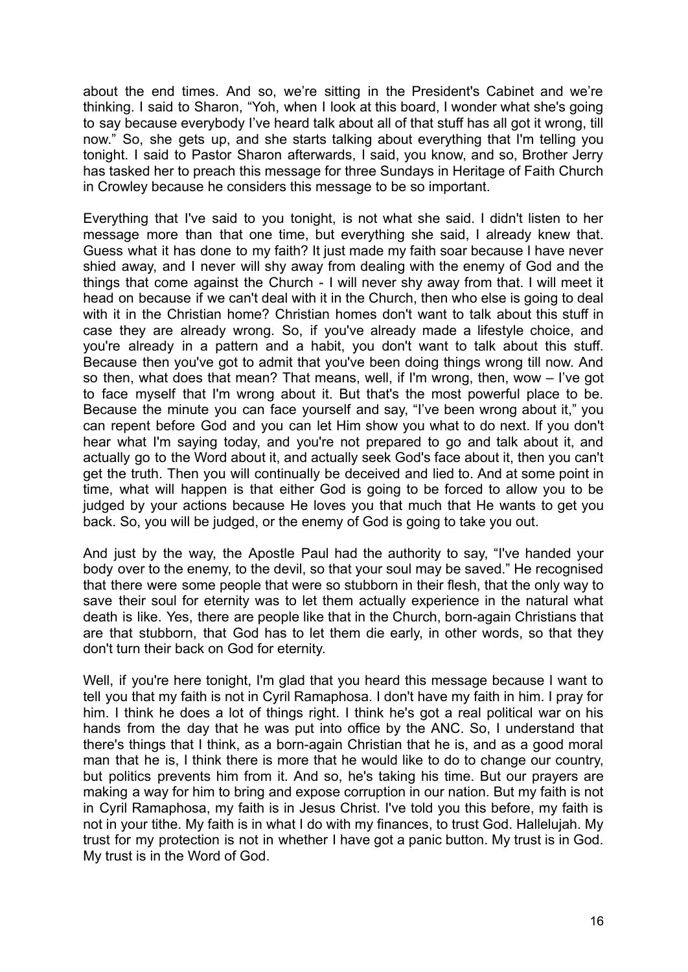about the end times. And so, we're sitting in the President's Cabinet and we're thinking. I said to Sharon, "Yoh, when I look at this board, I wonder what she's going to say because everybody I've heard talk about all of that stuff has all got it wrong, till now." So, she gets up, and she starts talking about everything that I'm telling you tonight. I said to Pastor Sharon afterwards, I said, you know, and so, Brother Jerry has tasked her to preach this message for three Sundays in Heritage of Faith Church in Crowley because he considers this message to be so important.

Everything that I've said to you tonight, is not what she said. I didn't listen to her message more than that one time, but everything she said, I already knew that. Guess what it has done to my faith? It just made my faith soar because I have never shied away, and I never will shy away from dealing with the enemy of God and the things that come against the Church - I will never shy away from that. I will meet it head on because if we can't deal with it in the Church, then who else is going to deal with it in the Christian home? Christian homes don't want to talk about this stuff in case they are already wrong. So, if you've already made a lifestyle choice, and you're already in a pattern and a habit, you don't want to talk about this stuff. Because then you've got to admit that you've been doing things wrong till now. And so then, what does that mean? That means, well, if I'm wrong, then, wow – I've got to face myself that I'm wrong about it. But that's the most powerful place to be. Because the minute you can face yourself and say, "I've been wrong about it," you can repent before God and you can let Him show you what to do next. If you don't hear what I'm saying today, and you're not prepared to go and talk about it, and actually go to the Word about it, and actually seek God's face about it, then you can't get the truth. Then you will continually be deceived and lied to. And at some point in time, what will happen is that either God is going to be forced to allow you to be judged by your actions because He loves you that much that He wants to get you back. So, you will be judged, or the enemy of God is going to take you out.

And just by the way, the Apostle Paul had the authority to say, "I've handed your body over to the enemy, to the devil, so that your soul may be saved." He recognised that there were some people that were so stubborn in their flesh, that the only way to save their soul for eternity was to let them actually experience in the natural what death is like. Yes, there are people like that in the Church, born-again Christians that are that stubborn, that God has to let them die early, in other words, so that they don't turn their back on God for eternity.

Well, if you're here tonight, I'm glad that you heard this message because I want to tell you that my faith is not in Cyril Ramaphosa. I don't have my faith in him. I pray for him. I think he does a lot of things right. I think he's got a real political war on his hands from the day that he was put into office by the ANC. So, I understand that there's things that I think, as a born-again Christian that he is, and as a good moral man that he is, I think there is more that he would like to do to change our country, but politics prevents him from it. And so, he's taking his time. But our prayers are making a way for him to bring and expose corruption in our nation. But my faith is not in Cyril Ramaphosa, my faith is in Jesus Christ. I've told you this before, my faith is not in your tithe. My faith is in what I do with my finances, to trust God. Hallelujah. My trust for my protection is not in whether I have got a panic button. My trust is in God. My trust is in the Word of God.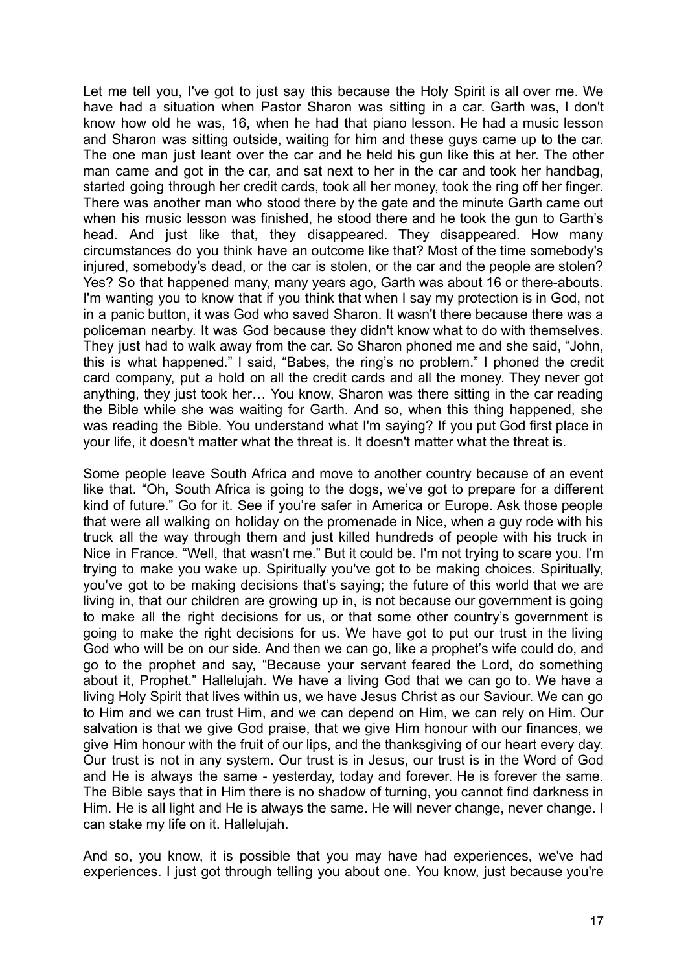Let me tell you, I've got to just say this because the Holy Spirit is all over me. We have had a situation when Pastor Sharon was sitting in a car. Garth was, I don't know how old he was, 16, when he had that piano lesson. He had a music lesson and Sharon was sitting outside, waiting for him and these guys came up to the car. The one man just leant over the car and he held his gun like this at her. The other man came and got in the car, and sat next to her in the car and took her handbag, started going through her credit cards, took all her money, took the ring off her finger. There was another man who stood there by the gate and the minute Garth came out when his music lesson was finished, he stood there and he took the gun to Garth's head. And just like that, they disappeared. They disappeared. How many circumstances do you think have an outcome like that? Most of the time somebody's injured, somebody's dead, or the car is stolen, or the car and the people are stolen? Yes? So that happened many, many years ago, Garth was about 16 or there-abouts. I'm wanting you to know that if you think that when I say my protection is in God, not in a panic button, it was God who saved Sharon. It wasn't there because there was a policeman nearby. It was God because they didn't know what to do with themselves. They just had to walk away from the car. So Sharon phoned me and she said, "John, this is what happened." I said, "Babes, the ring's no problem." I phoned the credit card company, put a hold on all the credit cards and all the money. They never got anything, they just took her… You know, Sharon was there sitting in the car reading the Bible while she was waiting for Garth. And so, when this thing happened, she was reading the Bible. You understand what I'm saying? If you put God first place in your life, it doesn't matter what the threat is. It doesn't matter what the threat is.

Some people leave South Africa and move to another country because of an event like that. "Oh, South Africa is going to the dogs, we've got to prepare for a different kind of future." Go for it. See if you're safer in America or Europe. Ask those people that were all walking on holiday on the promenade in Nice, when a guy rode with his truck all the way through them and just killed hundreds of people with his truck in Nice in France. "Well, that wasn't me." But it could be. I'm not trying to scare you. I'm trying to make you wake up. Spiritually you've got to be making choices. Spiritually, you've got to be making decisions that's saying; the future of this world that we are living in, that our children are growing up in, is not because our government is going to make all the right decisions for us, or that some other country's government is going to make the right decisions for us. We have got to put our trust in the living God who will be on our side. And then we can go, like a prophet's wife could do, and go to the prophet and say, "Because your servant feared the Lord, do something about it, Prophet." Hallelujah. We have a living God that we can go to. We have a living Holy Spirit that lives within us, we have Jesus Christ as our Saviour. We can go to Him and we can trust Him, and we can depend on Him, we can rely on Him. Our salvation is that we give God praise, that we give Him honour with our finances, we give Him honour with the fruit of our lips, and the thanksgiving of our heart every day. Our trust is not in any system. Our trust is in Jesus, our trust is in the Word of God and He is always the same - yesterday, today and forever. He is forever the same. The Bible says that in Him there is no shadow of turning, you cannot find darkness in Him. He is all light and He is always the same. He will never change, never change. I can stake my life on it. Hallelujah.

And so, you know, it is possible that you may have had experiences, we've had experiences. I just got through telling you about one. You know, just because you're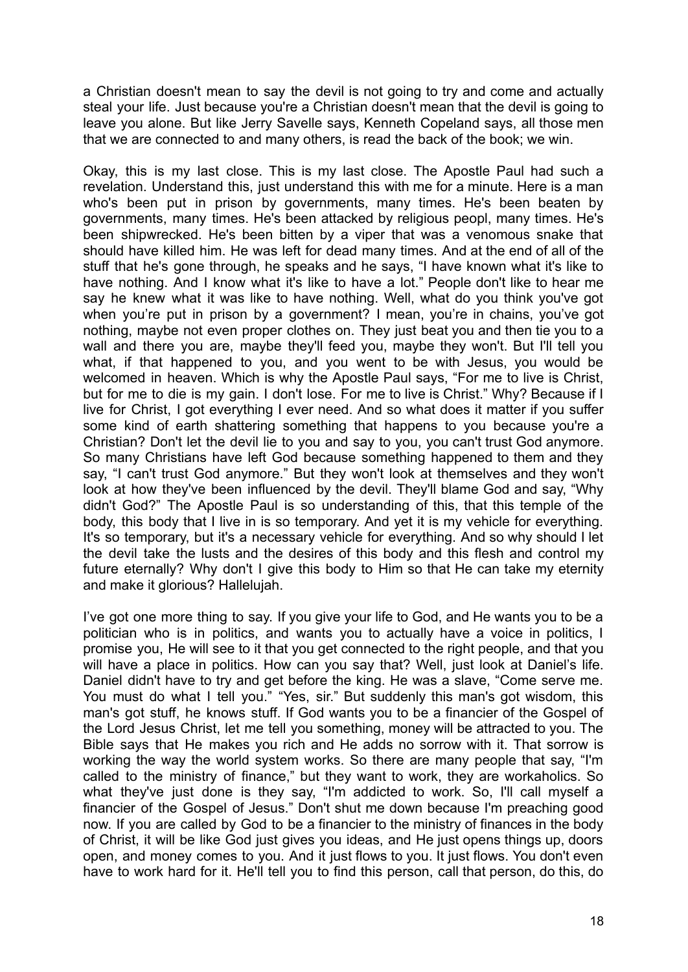a Christian doesn't mean to say the devil is not going to try and come and actually steal your life. Just because you're a Christian doesn't mean that the devil is going to leave you alone. But like Jerry Savelle says, Kenneth Copeland says, all those men that we are connected to and many others, is read the back of the book; we win.

Okay, this is my last close. This is my last close. The Apostle Paul had such a revelation. Understand this, just understand this with me for a minute. Here is a man who's been put in prison by governments, many times. He's been beaten by governments, many times. He's been attacked by religious peopl, many times. He's been shipwrecked. He's been bitten by a viper that was a venomous snake that should have killed him. He was left for dead many times. And at the end of all of the stuff that he's gone through, he speaks and he says, "I have known what it's like to have nothing. And I know what it's like to have a lot." People don't like to hear me say he knew what it was like to have nothing. Well, what do you think you've got when you're put in prison by a government? I mean, you're in chains, you've got nothing, maybe not even proper clothes on. They just beat you and then tie you to a wall and there you are, maybe they'll feed you, maybe they won't. But I'll tell you what, if that happened to you, and you went to be with Jesus, you would be welcomed in heaven. Which is why the Apostle Paul says, "For me to live is Christ, but for me to die is my gain. I don't lose. For me to live is Christ." Why? Because if I live for Christ, I got everything I ever need. And so what does it matter if you suffer some kind of earth shattering something that happens to you because you're a Christian? Don't let the devil lie to you and say to you, you can't trust God anymore. So many Christians have left God because something happened to them and they say, "I can't trust God anymore." But they won't look at themselves and they won't look at how they've been influenced by the devil. They'll blame God and say, "Why didn't God?" The Apostle Paul is so understanding of this, that this temple of the body, this body that I live in is so temporary. And yet it is my vehicle for everything. It's so temporary, but it's a necessary vehicle for everything. And so why should I let the devil take the lusts and the desires of this body and this flesh and control my future eternally? Why don't I give this body to Him so that He can take my eternity and make it glorious? Hallelujah.

I've got one more thing to say. If you give your life to God, and He wants you to be a politician who is in politics, and wants you to actually have a voice in politics, I promise you, He will see to it that you get connected to the right people, and that you will have a place in politics. How can you say that? Well, just look at Daniel's life. Daniel didn't have to try and get before the king. He was a slave, "Come serve me. You must do what I tell you." "Yes, sir." But suddenly this man's got wisdom, this man's got stuff, he knows stuff. If God wants you to be a financier of the Gospel of the Lord Jesus Christ, let me tell you something, money will be attracted to you. The Bible says that He makes you rich and He adds no sorrow with it. That sorrow is working the way the world system works. So there are many people that say, "I'm called to the ministry of finance," but they want to work, they are workaholics. So what they've just done is they say, "I'm addicted to work. So, I'll call myself a financier of the Gospel of Jesus." Don't shut me down because I'm preaching good now. If you are called by God to be a financier to the ministry of finances in the body of Christ, it will be like God just gives you ideas, and He just opens things up, doors open, and money comes to you. And it just flows to you. It just flows. You don't even have to work hard for it. He'll tell you to find this person, call that person, do this, do